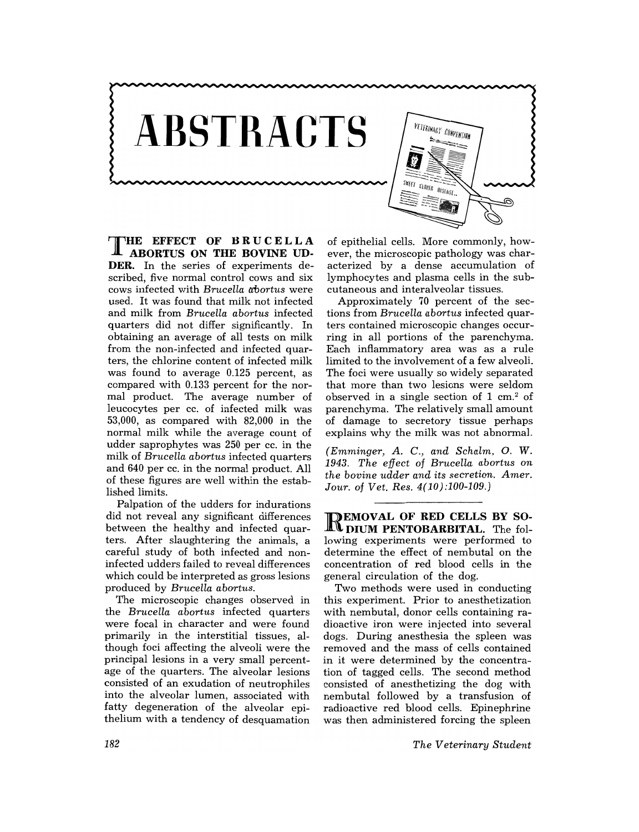

T HE **EFFECT OF BRUCELLA ABORTUS ON THE BOVINE UD-DER.** In the series of experiments described, five normal control cows and six cows infected with *Brucella abortus* were used. It was found that milk not infected and milk from *Brucella abortus* infected quarters did not differ significantly. In obtaining an average of all tests on milk from the non-infected and infected quarters, the chlorine content of infected milk was found to average 0.125 percent, as compared with 0.133 percent for the normal product. The average number of leucocytes per cc. of infected milk was 53,000, as compared with 82,000 in the normal milk while the average count of udder saprophytes was 250 per cc. in the milk of *Brucella abortus* infected quarters and 640 per cc. in the normal product. All of these figures are well within the established limits.

Palpation of the udders for indurations did not reveal any significant differences between the healthy and infected quarters. After slaughtering the animals, a careful study of both infected and noninfected udders failed to reveal differences which could be interpreted as gross lesions produced by *Brucella abortus.* 

The microscopic changes observed in the *Brucella abortus* infected quarters were focal in character and were found primarily in the interstitial tissues, although foci affecting the alveoli were the principal lesions in a very small percentage of the quarters. The alveolar lesions consisted of an exudation of neutrophiles into the alveolar lumen, associated with fatty degeneration of the alveolar epithelium with a tendency of desquamation

of epithelial cells. More commonly, however, the microscopic pathology was characterized by a dense accumulation of lymphocytes and plasma cells in the subcutaneous and interalveolar tissues.

Approximately 70 percent of the sections from *Brucella abortus* infected quarters contained microscopic changes occurring in all portions of the parenchyma. Each inflammatory area was as a rule limited to the involvement of a few alveoli. The foci were usually so widely separated that more than two lesions were seldom observed in a single section of  $1 \text{ cm}^2$  of parenchyma. The relatively small amount of damage to secretory tissue perhaps explains why the milk was not abnormal.

*(Emminger, A. C., and Schalm,* O. W. *1943. The effect* of *Brucella abortus on the bovine udder and its secretion. Amer. Jour.* of *Vet. Res. 4(10):100-109.)* 

REMOVAL **OF RED CELLS BY SO-DIUM PENTOBARBITAL.** The following experiments were performed to determine the effect of nembutal on the concentration of red blood cells in the general circulation of the dog.

Two methods were used in conducting this experiment. Prior to anesthetization with nembutal, donor cells containing radioactive iron were injected into several dogs. During anesthesia the spleen was removed and the mass of cells contained in it were determined by the concentration of tagged cells. The second method consisted of anesthetizing the dog with nembutal followed by a transfusion of radioactive red blood cells. Epinephrine was then administered forcing the spleen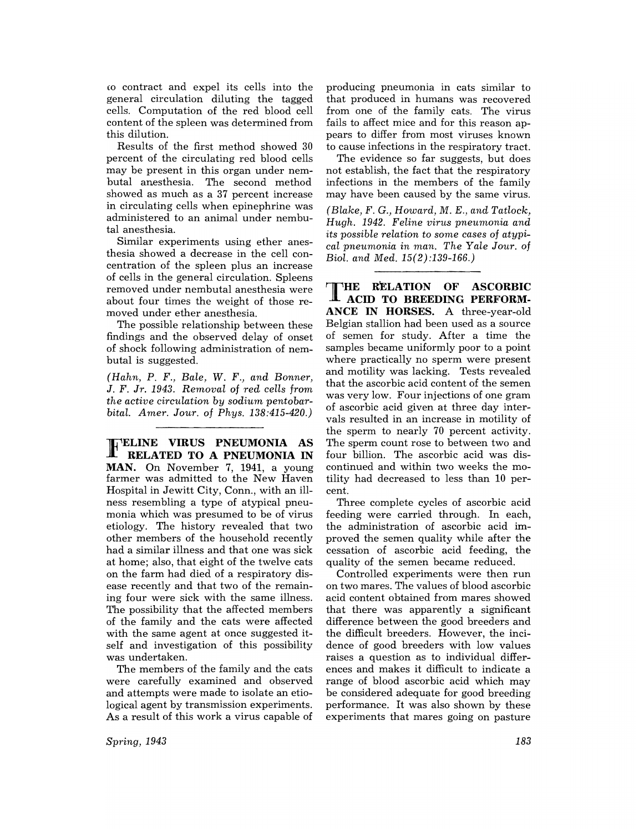co contract and expel its cells into the general circulation diluting the tagged cells. Computation of the red blood cell content of the spleen was determined from this dilution.

Results of the first method showed 30 percent of the circulating red blood cells may be present in this organ under nembutal anesthesia. The second method showed as much as a 37 percent increase in circulating cells when epinephrine was administered to an animal under nembutal anesthesia.

Similar experiments using ether anesthesia showed a decrease in the cell concentration of the spleen plus an increase of cells in the general circulation. Spleens removed under nembutal anesthesia were about four times the weight of those removed under ether anesthesia.

The possible relationship between these findings and the observed delay of onset of shock following administration of nembutal is suggested.

*(Hahn,* P. *F., Bale,* W. *F., and Bonner, J.* F. *Jr.* 1943. *Removal* of *red cells from the active circulation by sodium pentobarbital. Amer. Jour.* of *Phys. 138:415-420.)* 

FELINE **VIRUS PNEUMONIA AS RELATED TO A PNEUMONIA IN MAN.** On November 7, 1941, a young farmer was admitted to the New Haven Hospital in Jewitt City, Conn., with an illness resembling a type of atypical pneumonia which was presumed to be of virus etiology. The history revealed that two other members of the household recently had a similar illness and that one was sick at home; also, that eight of the twelve cats on the farm had died of a respiratory disease recently and that two of the remaining four were sick with the same illness. The possibility that the affected members of the family and the cats were affected with the same agent at once suggested itself and investigation of this possibility was undertaken.

The members of the family and the cats were carefully examined and observed and attempts were made to isolate an etiological agent by transmission experiments. As a result of this work a virus capable of

*Spring, 1943* 

producing pneumonia in cats similar to that produced in humans was recovered from one of the family cats. The virus fails to affect mice and for this reason appears to differ from most viruses known to cause infections in the respiratory tract.

The evidence so far suggests, but does not establish, the fact that the respiratory infections in the members of the family may have been caused by the same virus.

*(Blake,* F. *G., Howard,* M. *E., and Tatlock, Hugh.* 1942. *Feline virus pneumonia and its possible relation* to *some cases* of *atypical pneumonia in man. The Yale Jour.* of *Biol. and Med. 15(2):139-166.)* 

THE RELATION OF ASCORBIC ACID TO BREEDING PERFORM-**ANCE IN HORSES.** A three-year-old Belgian stallion had been used as a source of semen for study. After a time the samples became uniformly poor to a point where practically no sperm were present and motility was lacking. Tests revealed that the ascorbic acid content of the semen was very low. Four injections of one gram of ascorbic acid given at three day intervals resulted in an increase in motility of the sperm to nearly 70 percent activity. The sperm count rose to between two and four billion. The ascorbic acid was discontinued and within two weeks the motility had decreased to less than 10 percent.

Three complete cycles of ascorbic acid feeding were carried through. In each, the administration of ascorbic acid improved the semen quality while after the cessation of ascorbic acid feeding, the quality of the semen became reduced.

Controlled experiments were then run on two mares. The values of blood ascorbic acid content obtained from mares showed that there was apparently a significant difference between the good breeders and the difficult breeders. However, the incidence of good breeders with low values raises a question as to individual differences and makes it difficult to indicate a range of blood ascorbic acid which may be considered adequate for good breeding performance. It was also shown by these experiments that mares going on pasture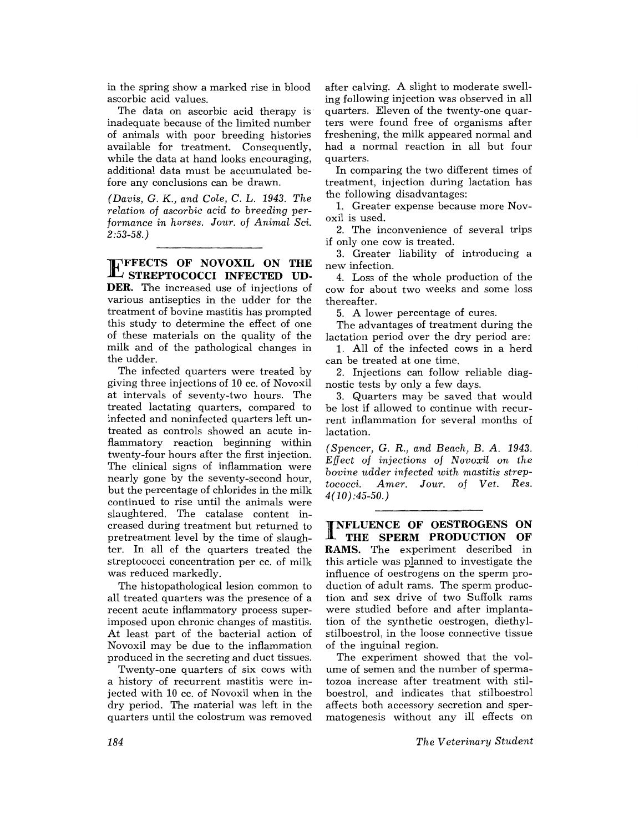in the spring show a marked rise in blood ascorbic acid values.

The data on ascorbic acid therapy is inadequate because of the limited number of animals with poor breeding histories available for treatment. Consequently, while the data at hand looks encouraging, additional data must be accumulated before any conclusions can be drawn.

*(Davis,* G. K., *and Cole,* C. L. 1943. *The relation* of *ascorbic acid* to *breeding performance in horses. Jour.* of *Animal Sci.*   $2:53-58.$ )

**EFFECTS OF NOVOXIL ON THE STREPTOCOCCI INFECTED UD-DER.** The increased use of injections of various antiseptics in the udder for the treatment of bovine mastitis has prompted this study to determine the effect of one of these materials on the quality of the milk and of the pathological changes in the udder.

The infected quarters were treated by giving three injections of 10 cc. of Novoxil at intervals of seventy-two hours. The treated lactating quarters, compared to infected and noninfected quarters left untreated as controls showed an acute inflammatory reaction beginning within twenty-four hours after the first injection. The clinical signs of inflammation were nearly gone by the seventy-second hour, but the percentage of chlorides in the milk continued to rise until the animals were slaughtered. The catalase content increased during treatment but returned to pretreatment level by the time of slaughter. In all of the quarters treated the streptococci concentration per cc. of milk was reduced markedly.

The histopathological lesion common to all treated quarters was the presence of a recent acute inflammatory process superimposed upon chronic changes of mastitis. At least part of the bacterial action of Novoxil may be due to the inflammation produced in the secreting and duct tissues.

Twenty-one quarters of six cows with a history of recurrent mastitis were injected with 10 cc. of Novoxil when in the dry period. The material was left in the quarters until the colostrum was removed

after calving. A slight to moderate swelling following injection was observed in all quarters. Eleven of the twenty-one quarters were found free of organisms after freshening, the milk appeared normal and had a normal reaction in all but four quarters.

In comparing the two different times of treatment, injection during lactation has the following disadvantages:

1. Greater expense because more Novoxil is used.

2. The inconvenience of several trips if only one cow is treated.

3. Greater liability of introducing a new infection.

4. Loss of the whole production of the cow for about two weeks and some loss thereafter.

5. A lower percentage of cures.

The advantages of treatment during the lactation period over the dry period are:

1. All of the infected cows in a herd can be treated at one time.

2. Injections can follow reliable diagnostic tests by only a few days.

3. Quarters may be saved that would be lost if allowed to continue with recurrent inflammation for several months of lactation.

*(Spencer,* G. *R., and Beach,* B. A. *1943. Effect* of *injections* of *Novoxil* on *the bovine udder infected with mastitis streptococci. Amer. Jour.* of *Vet. Res. 4(10) :45-50.)* 

I NFLUENCE **OF OESTROGENS ON THE SPERM PRODUCTION OF RAMS.** The experiment described in this article was planned to investigate the influence of oestrogens on the sperm production of adult rams. The sperm production and sex drive of two Suffolk rams were studied before and after implantation of the synthetic oestrogen, diethylstilboestrol, in the loose connective tissue of the inguinal region.

The experiment showed that the volume of semen and the number of spermatozoa increase after treatment with stilboestrol, and indicates that stilboestrol affects both accessory secretion and spermatogenesis without any ill effects on

*The Veterinary Student*